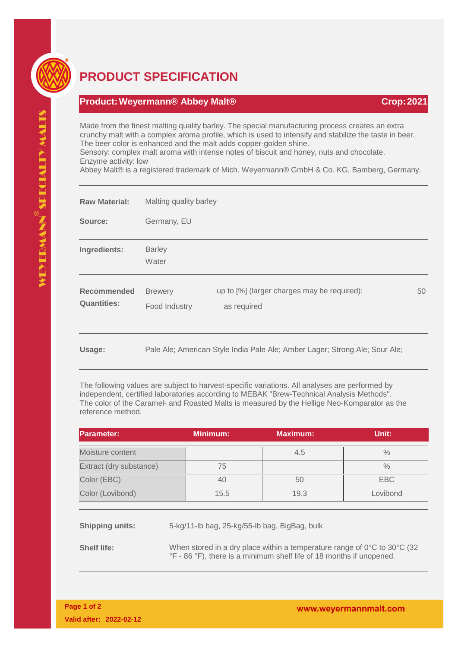

## **PRODUCT SPECIFICATION**

## **Product:Weyermann® Abbey Malt® Crop:2021**

Made from the finest malting quality barley. The special manufacturing process creates an extra crunchy malt with a complex aroma profile, which is used to intensify and stabilize the taste in beer. The beer color is enhanced and the malt adds copper-golden shine.

Sensory: complex malt aroma with intense notes of biscuit and honey, nuts and chocolate. Enzyme activity: low

Abbey Malt® is a registered trademark of Mich. Weyermann® GmbH & Co. KG, Bamberg, Germany.

| <b>Raw Material:</b>              | Malting quality barley          |                                                                             |    |  |
|-----------------------------------|---------------------------------|-----------------------------------------------------------------------------|----|--|
| Source:                           | Germany, EU                     |                                                                             |    |  |
| Ingredients:                      | <b>Barley</b><br>Water          |                                                                             |    |  |
| Recommended<br><b>Quantities:</b> | <b>Brewery</b><br>Food Industry | up to [%] (larger charges may be required):<br>as required                  | 50 |  |
| Usage:                            |                                 | Pale Ale; American-Style India Pale Ale; Amber Lager; Strong Ale; Sour Ale; |    |  |

The following values are subject to harvest-specific variations. All analyses are performed by independent, certified laboratories according to MEBAK "Brew-Technical Analysis Methods". The color of the Caramel- and Roasted Malts is measured by the Hellige Neo-Komparator as the reference method.

| <b>Parameter:</b>       | <b>Minimum:</b> | <b>Maximum:</b> | Unit:    |
|-------------------------|-----------------|-----------------|----------|
| Moisture content        |                 | 4.5             | $\%$     |
| Extract (dry substance) | 75              |                 | $\%$     |
| Color (EBC)             | 40              | 50              | EBC      |
| Color (Lovibond)        | 15.5            | 19.3            | Lovibond |

**Shipping units:** 5-kg/11-lb bag, 25-kg/55-lb bag, BigBag, bulk

**Shelf life:** When stored in a dry place within a temperature range of 0°C to 30°C (32) °F - 86 °F), there is a minimum shelf life of 18 months if unopened.

**Page 1 of 2 Valid after: 2022-02-12**

www.weyermannmalt.com